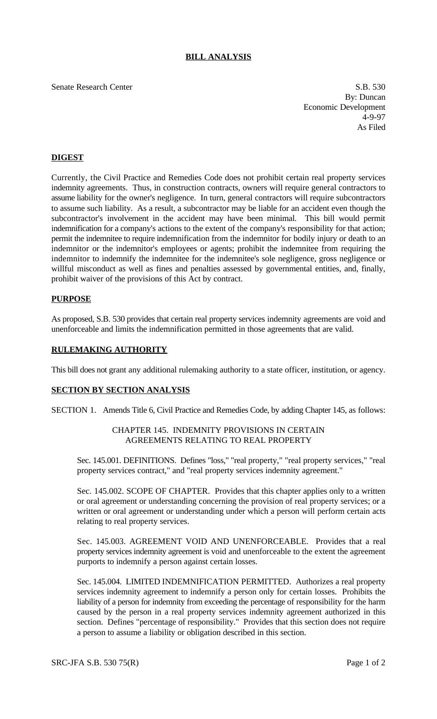# **BILL ANALYSIS**

Senate Research Center S.B. 530

By: Duncan Economic Development 4-9-97 As Filed

# **DIGEST**

Currently, the Civil Practice and Remedies Code does not prohibit certain real property services indemnity agreements. Thus, in construction contracts, owners will require general contractors to assume liability for the owner's negligence. In turn, general contractors will require subcontractors to assume such liability. As a result, a subcontractor may be liable for an accident even though the subcontractor's involvement in the accident may have been minimal. This bill would permit indemnification for a company's actions to the extent of the company's responsibility for that action; permit the indemnitee to require indemnification from the indemnitor for bodily injury or death to an indemnitor or the indemnitor's employees or agents; prohibit the indemnitee from requiring the indemnitor to indemnify the indemnitee for the indemnitee's sole negligence, gross negligence or willful misconduct as well as fines and penalties assessed by governmental entities, and, finally, prohibit waiver of the provisions of this Act by contract.

#### **PURPOSE**

As proposed, S.B. 530 provides that certain real property services indemnity agreements are void and unenforceable and limits the indemnification permitted in those agreements that are valid.

### **RULEMAKING AUTHORITY**

This bill does not grant any additional rulemaking authority to a state officer, institution, or agency.

#### **SECTION BY SECTION ANALYSIS**

SECTION 1. Amends Title 6, Civil Practice and Remedies Code, by adding Chapter 145, as follows:

### CHAPTER 145. INDEMNITY PROVISIONS IN CERTAIN AGREEMENTS RELATING TO REAL PROPERTY

Sec. 145.001. DEFINITIONS. Defines "loss," "real property," "real property services," "real property services contract," and "real property services indemnity agreement."

Sec. 145.002. SCOPE OF CHAPTER. Provides that this chapter applies only to a written or oral agreement or understanding concerning the provision of real property services; or a written or oral agreement or understanding under which a person will perform certain acts relating to real property services.

Sec. 145.003. AGREEMENT VOID AND UNENFORCEABLE. Provides that a real property services indemnity agreement is void and unenforceable to the extent the agreement purports to indemnify a person against certain losses.

Sec. 145.004. LIMITED INDEMNIFICATION PERMITTED. Authorizes a real property services indemnity agreement to indemnify a person only for certain losses. Prohibits the liability of a person for indemnity from exceeding the percentage of responsibility for the harm caused by the person in a real property services indemnity agreement authorized in this section. Defines "percentage of responsibility." Provides that this section does not require a person to assume a liability or obligation described in this section.